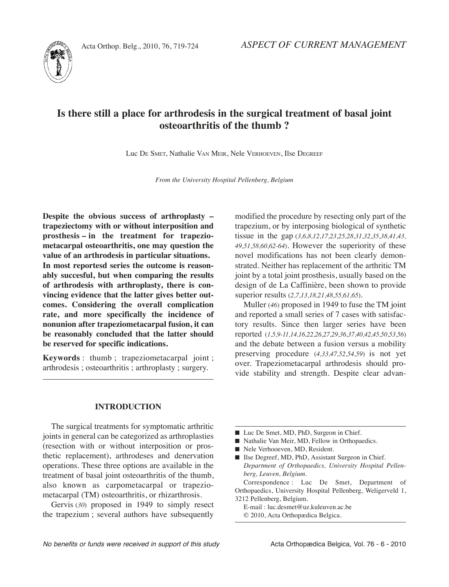



# **Is there still a place for arthrodesis in the surgical treatment of basal joint osteoarthritis of the thumb ?**

Luc DE SMEt, Nathalie VAN MEIR, Nele VERHOEVEN, Ilse DEgREEF

*from the University Hospital pellenberg, Belgium*

**Despite the obvious success of arthroplasty – trapeziectomy with or without interposition and prosthesis – in the treatment for trapeziometacarpal osteoarthritis, one may question the value of an arthrodesis in particular situations. In most reportesd series the outcome is reasonably succesful, but when comparing the results of arthrodesis with arthroplasty, there is convincing evidence that the latter gives better outcomes. Considering the overall complication rate, and more specifically the incidence of nonunion after trapeziometacarpal fusion, it can be reasonably concluded that the latter should be reserved for specific indications.**

**Keywords** : thumb ; trapeziometacarpal joint ; arthrodesis ; osteoarthritis ; arthroplasty ; surgery.

#### **IntroDuCtIon**

The surgical treatments for symptomatic arthritic joints in general can be categorized as arthroplasties (resection with or without interposition or prosthetic replacement), arthrodeses and denervation operations. These three options are available in the treatment of basal joint osteoarthritis of the thumb, also known as carpometacarpal or trapeziometacarpal (TM) osteoarthritis, or rhizarthrosis.

Gervis (30) proposed in 1949 to simply resect the trapezium ; several authors have subsequently modified the procedure by resecting only part of the trapezium, or by interposing biological of synthetic tissue in the gap (*3,6,8,12,17,23,25,28,31,32,35,38,41,43, 49,51,58,60,62-64*). However the superiority of these novel modifications has not been clearly demonstrated. Neither has replacement of the arthritic TM joint by a total joint prosthesis, usually based on the design of de La Caffinière, been shown to provide superior results (*2,7,13,18,21,48,55,61,65*).

Muller (46) proposed in 1949 to fuse the TM joint and reported a small series of 7 cases with satisfactory results. Since then larger series have been reported (*1,5,9-11,14,16,22,26,27,29,36,37,40,42,45,50,53,56*) and the debate between a fusion versus a mobility preserving procedure (*4,33,47,52,54,59*) is not yet over. Trapeziometacarpal arthrodesis should provide stability and strength. Despite clear advan-

- Luc De Smet, MD, PhD, Surgeon in Chief.
- Nathalie Van Meir, MD, Fellow in Orthopaedics.
- Nele Verhooeven, MD, Resident.
- Ilse Degreef, MD, PhD, Assistant Surgeon in Chief. *Department of orthopaedics, University Hospital pellenberg, Leuven, Belgium.*

Correspondence : Luc De Smet, Department of Orthopaedics, University Hospital Pellenberg, Weligerveld 1, 3212 Pellenberg, Belgium.

E-mail : luc.desmet@uz.kuleuven.ac.be © 2010, Acta Orthopædica Belgica.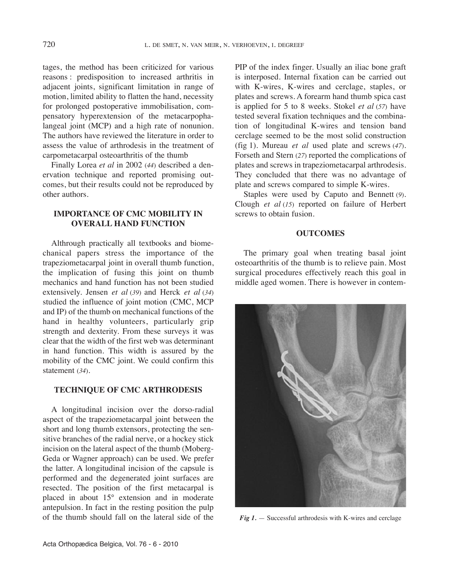tages, the method has been criticized for various reasons : predisposition to increased arthritis in adjacent joints, significant limitation in range of motion, limited ability to flatten the hand, necessity for prolonged postoperative immobilisation, compensatory hyperextension of the metacarpophalangeal joint (MCP) and a high rate of nonunion. The authors have reviewed the literature in order to assess the value of arthrodesis in the treatment of carpometacarpal osteoarthritis of the thumb

Finally Lorea *et al* in 2002 (*44*) described a denervation technique and reported promising outcomes, but their results could not be reproduced by other authors.

# **ImportanCe of CmC mobIlIty In overall hanD funCtIon**

Althrough practically all textbooks and biomechanical papers stress the importance of the trapeziometacarpal joint in overall thumb function, the implication of fusing this joint on thumb mechanics and hand function has not been studied extensively. Jensen *et al* (*39*) and Herck *et al* (*34*) studied the influence of joint motion (CMC, MCP and IP) of the thumb on mechanical functions of the hand in healthy volunteers, particularly grip strength and dexterity. From these surveys it was clear that the width of the first web was determinant in hand function. This width is assured by the mobility of the CMC joint. We could confirm this statement (*34*).

## **teChnIque of CmC arthroDesIs**

A longitudinal incision over the dorso-radial aspect of the trapeziometacarpal joint between the short and long thumb extensors, protecting the sensitive branches of the radial nerve, or a hockey stick incision on the lateral aspect of the thumb (Moberg-Geda or Wagner approach) can be used. We prefer the latter. A longitudinal incision of the capsule is performed and the degenerated joint surfaces are resected. the position of the first metacarpal is placed in about 15° extension and in moderate antepulsion. In fact in the resting position the pulp of the thumb should fall on the lateral side of the PIP of the index finger. Usually an iliac bone graft is interposed. Internal fixation can be carried out with K-wires, K-wires and cerclage, staples, or plates and screws. A forearm hand thumb spica cast is applied for 5 to 8 weeks. Stokel *et al* (*57*) have tested several fixation techniques and the combination of longitudinal K-wires and tension band cerclage seemed to be the most solid construction (fig 1). Mureau *et al* used plate and screws (*47*). Forseth and Stern (*27*) reported the complications of plates and screws in trapeziometacarpal arthrodesis. They concluded that there was no advantage of plate and screws compared to simple K-wires.

Staples were used by Caputo and Bennett (*9*). Clough *et al* (*15*) reported on failure of Herbert screws to obtain fusion.

## **OUTCOMES**

The primary goal when treating basal joint osteoarthritis of the thumb is to relieve pain. Most surgical procedures effectively reach this goal in middle aged women. There is however in contem-



*Fig 1.* — Successful arthrodesis with K-wires and cerclage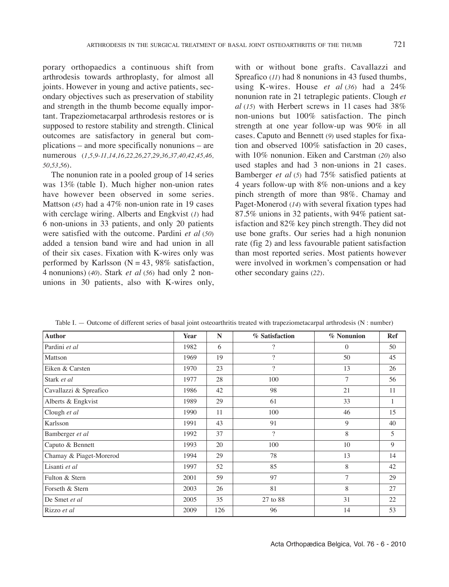porary orthopaedics a continuous shift from arthrodesis towards arthroplasty, for almost all joints. However in young and active patients, secondary objectives such as preservation of stability and strength in the thumb become equally important. Trapeziometacarpal arthrodesis restores or is supposed to restore stability and strength. Clinical outcomes are satisfactory in general but complications – and more specifically nonunions – are numerous (*1,5,9-11,14,16,22,26,27,29,36,37,40,42,45,46, 50,53,56*).

The nonunion rate in a pooled group of 14 series was 13% (table I). Much higher non-union rates have however been observed in some series. Mattson (*45*) had a 47% non-union rate in 19 cases with cerclage wiring. Alberts and Engkvist (*1*) had 6 non-unions in 33 patients, and only 20 patients were satisfied with the outcome. Pardini *et al* (*50*) added a tension band wire and had union in all of their six cases. Fixation with K-wires only was performed by Karlsson  $(N = 43, 98\%$  satisfaction, 4 nonunions) (*40*). Stark *et al* (*56*) had only 2 nonunions in 30 patients, also with K-wires only, with or without bone grafts. Cavallazzi and Spreafico (*11*) had 8 nonunions in 43 fused thumbs, using K-wires. House *et al* (*36*) had a 24% nonunion rate in 21 tetraplegic patients. Clough *et al* (*15*) with Herbert screws in 11 cases had 38% non-unions but  $100\%$  satisfaction. The pinch strength at one year follow-up was 90% in all cases. Caputo and Bennett (*9*) used staples for fixation and observed 100% satisfaction in 20 cases, with 10% nonunion. Eiken and Carstman (*20*) also used staples and had 3 non-unions in 21 cases. Bamberger *et al* (*5*) had 75% satisfied patients at 4 years follow-up with 8% non-unions and a key pinch strength of more than 98%. Chamay and Paget-Monerod (*14*) with several fixation types had 87.5% unions in 32 patients, with 94% patient satisfaction and  $82\%$  key pinch strength. They did not use bone grafts. Our series had a high nonunion rate (fig 2) and less favourable patient satisfaction than most reported series. Most patients however were involved in workmen's compensation or had other secondary gains (*22*).

| <b>Author</b>           | Year | N   | % Satisfaction | % Nonunion     | <b>Ref</b> |
|-------------------------|------|-----|----------------|----------------|------------|
| Pardini et al           | 1982 | 6   | $\gamma$       | $\Omega$       | 50         |
| Mattson                 | 1969 | 19  | $\overline{?}$ | 50             | 45         |
| Eiken & Carsten         | 1970 | 23  | $\overline{?}$ | 13             | 26         |
| Stark et al             | 1977 | 28  | 100            | 7              | 56         |
| Cavallazzi & Spreafico  | 1986 | 42  | 98             | 21             | 11         |
| Alberts & Engkvist      | 1989 | 29  | 61             | 33             | 1          |
| Clough et al            | 1990 | 11  | 100            | 46             | 15         |
| Karlsson                | 1991 | 43  | 91             | 9              | 40         |
| Bamberger et al         | 1992 | 37  | $\overline{?}$ | 8              | 5          |
| Caputo & Bennett        | 1993 | 20  | 100            | 10             | 9          |
| Chamay & Piaget-Morerod | 1994 | 29  | 78             | 13             | 14         |
| Lisanti et al           | 1997 | 52  | 85             | 8              | 42         |
| Fulton & Stern          | 2001 | 59  | 97             | $\overline{7}$ | 29         |
| Forseth & Stern         | 2003 | 26  | 81             | 8              | 27         |
| De Smet et al           | 2005 | 35  | 27 to 88       | 31             | 22         |
| Rizzo et al             | 2009 | 126 | 96             | 14             | 53         |

Table I. — Outcome of different series of basal joint osteoarthritis treated with trapeziometacarpal arthrodesis (N : number)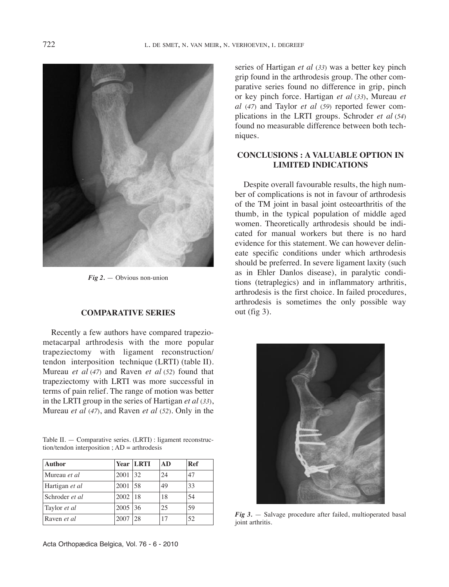

*Fig 2.* — Obvious non-union

### **ComparatIve serIes**

Recently a few authors have compared trapeziometacarpal arthrodesis with the more popular trapeziectomy with ligament reconstruction/ tendon interposition technique (LRTI) (table II). Mureau *et al* (*47*) and Raven *et al* (*52*) found that trapeziectomy with LRTI was more successful in terms of pain relief. The range of motion was better in the LRTI group in the series of Hartigan *et al* (33), Mureau *et al* (*47*), and Raven *et al* (*52*). Only in the

| Table II. — Comparative series. (LRTI) : ligament reconstruc- |  |  |
|---------------------------------------------------------------|--|--|
| $tion/t$ endon interposition; $AD = arth$ rodesis             |  |  |

| <b>Author</b>      |      | <b>Year LRTI</b> | AD | Ref |
|--------------------|------|------------------|----|-----|
| Mureau et al       | 2001 | 32               | 24 | 47  |
| Hartigan et al     | 2001 | 58               | 49 | 33  |
| Schroder et al.    | 2002 | -18              | 18 | 54  |
| Taylor et al       | 2005 | 36               | 25 | 59  |
| Raven <i>et al</i> | 2007 | 28               | 17 | 52  |

series of Hartigan *et al* (*33*) was a better key pinch grip found in the arthrodesis group. The other comparative series found no difference in grip, pinch or key pinch force. Hartigan *et al* (*33*), Mureau *et al* (47) and Taylor *et al* (59) reported fewer complications in the LRTI groups. Schroder *et al* (54) found no measurable difference between both techniques.

## **ConClusIons : a valuable optIon In lImIteD InDICatIons**

Despite overall favourable results, the high number of complications is not in favour of arthrodesis of the tM joint in basal joint osteoarthritis of the thumb, in the typical population of middle aged women. Theoretically arthrodesis should be indicated for manual workers but there is no hard evidence for this statement. We can however delineate specific conditions under which arthrodesis should be preferred. In severe ligament laxity (such as in Ehler Danlos disease), in paralytic conditions (tetraplegics) and in inflammatory arthritis, arthrodesis is the first choice. In failed procedures, arthrodesis is sometimes the only possible way out (fig 3).



*Fig 3.* — Salvage procedure after failed, multioperated basal joint arthritis.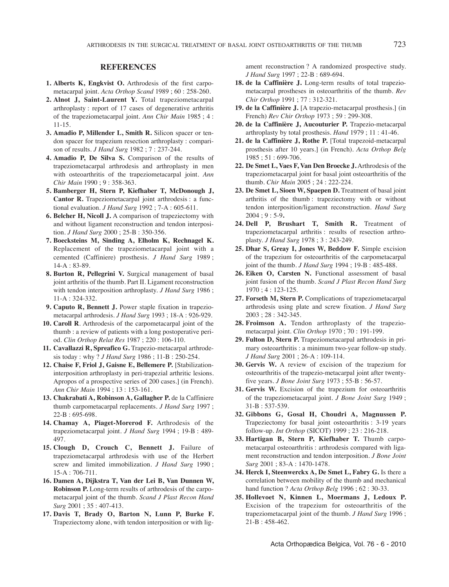#### **referenCes**

- **1. alberts K, engkvist o.** Arthrodesis of the first carpometacarpal joint. *Acta orthop scand* 1989 ; 60 : 258-260.
- **2. alnot J, saint-laurent y.** total trapeziometacarpal arthroplasty : report of 17 cases of degenerative arthritis of the trapeziometacarpal joint. *Ann chir Main* 1985 ; 4 : 11-15.
- **3. amadio p, millender l, smith r.** Silicon spacer or tendon spacer for trapezium resection arthroplasty : comparison of results. *J Hand surg* 1982 ; 7 : 237-244.
- **4. amadio p, De silva s.** Comparison of the results of trapeziometacarpal arthrodesis and arthroplasty in men with osteoarthritis of the trapeziometacarpal joint. *Ann chir Main* 1990 ; 9 : 358-363.
- **5. bamberger h, stern p, Kiefhaber t, mcDonough J, Cantor R.** Trapeziometacarpal joint arthrodesis : a functional evaluation. *J Hand surg* 1992 ; 7-A : 605-611.
- **6. belcher h, nicoll J.** A comparison of trapeziectomy with and without ligament reconstruction and tendon interposition. *J Hand surg* 2000 ; 25-B : 350-356.
- **7. boecksteins m, sinding a, elholm K, rechnagel K.** Replacement of the trapeziometacarpal joint with a cemented (Caffiniere) prosthesis. *J Hand surg* 1989 ; 14-A : 83-89.
- **8. burton r, pellegrini v.** Surgical management of basal joint arthritis of the thumb. Part II. Ligament reconstruction with tendon interposition arthroplasty. *J Hand surg* 1986 ; 11-A : 324-332.
- **9. Caputo R, Bennett J.** Power staple fixation in trapeziometacarpal arthrodesis. *J Hand surg* 1993 ; 18-A : 926-929.
- **10. Caroll r**. Arthrodesis of the carpometacarpal joint of the thumb : a review of patients with a long postoperative period. *clin orthop Relat Res* 1987 ; 220 : 106-110.
- 11. **Cavallazzi R, Spreafico G.** Trapezio-metacarpal arthrodesis today : why ? *J Hand surg* 1986 ; 11-B : 250-254.
- **12. Chaise f, friol J, Gaisne e, bellemere p.** [Stabilizationinterposition arthroplasty in peri-trapezial arthritic lesions. Apropos of a prospective series of 200 cases.] (in French). *Ann chir Main* 1994 ; 13 : 153-161.
- **13. Chakrabati a, robinson a, Gallagher p.** de la Caffiniere thumb carpometacarpal replacements. *J Hand surg* 1997 ; 22-B : 695-698.
- **14. Chamay a, piaget-morerod f.** Arthrodesis of the trapeziometacarpal joint. *J Hand surg* 1994 ; 19-B : 489- 497.
- **15. Clough D, Crouch C, bennett J.** Failure of trapeziometacarpal arthrodesis with use of the Herbert screw and limited immobilization. *J Hand surg* 1990 ; 15-A : 706-711.
- **16. Damen a, Dijkstra t, van der lei b, van Dunnen W, Robinson P.** Long-term results of arthrodesis of the carpometacarpal joint of the thumb. *scand J plast Recon Hand surg* 2001 ; 35 : 407-413.
- **17. Davis t, brady o, barton n, lunn p, burke f.** Trapeziectomy alone, with tendon interposition or with lig-

ament reconstruction ? A randomized prospective study. *J Hand surg* 1997 ; 22-B : 689-694.

- **18. de la Caffinière J.** Long-term results of total trapeziometacarpal prostheses in osteoarthritis of the thumb. *Rev chir orthop* 1991 ; 77 : 312-321.
- **19. de la Caffinière J.** [A trapezio-metacarpal prosthesis.] (in French) *Rev chir orthop* 1973 ; 59 : 299-308.
- **20. de la Caffinière J, aucouturier p.** trapezio-metacarpal arthroplasty by total prosthesis. *Hand* 1979 ; 11 : 41-46.
- **21. de la Caffinière J, rothe p.** [total trapezoid-metacarpal prosthesis after 10 years.] (in French). *Acta orthop Belg* 1985 ; 51 : 699-706.
- **22. De smet l, vaes f, van Den broecke J.** Arthrodesis of the trapeziometacarpal joint for basal joint osteoarthritis of the thumb. *chir Main* 2005 ; 24 : 222-224.
- **23. De smet l, sioen W, spaepen D.** treatment of basal joint arthritis of the thumb : trapeziectomy with or without tendon interposition/ligament reconstruction. *Hand surg* 2004 ; 9 : 5-9**.**
- **24. Dell p, brushart t, smith r.** treatment of trapeziometacarpal arthritis : results of resection arthroplasty. *J Hand surg* 1978 ; 3 : 243-249.
- **25. Dhar s, Greay I, Jones W, beddow f.** Simple excision of the trapezium for osteoarthritis of the carpometacarpal joint of the thumb. *J Hand surg* 1994 ; 19-B : 485-488.
- **26. eiken o, Carsten n.** Functional assessment of basal joint fusion of the thumb. *scand J plast Recon Hand surg* 1970 ; 4 : 123-125.
- **27. forseth m, stern p.** Complications of trapeziometacarpal arthrodesis using plate and screw fixation. *J Hand surg* 2003 ; 28 : 342-345.
- 28. Froimson A. Tendon arthroplasty of the trapeziometacarpal joint. *clin orthop* 1970 ; 70 : 191-199.
- **29. fulton D, stern p.** trapeziometacarpal arthrodesis in primary osteoarthritis : a minimum two-year follow-up study. *J Hand surg* 2001 ; 26-A : 109-114.
- **30. Gervis W.** A review of excision of the trapezium for osteoarthritis of the trapezio-metacarpal joint after twentyfive years. *J Bone Joint surg* 1973 ; 55-B : 56-57.
- **31. Gervis W.** Excision of the trapezium for osteoarthritis of the trapeziometacarpal joint. *J Bone Joint surg* 1949 ; 31-B : 537-539.
- **32. Gibbons G, Gosal h, Choudri a, magnussen p.** Trapeziectomy for basal joint osteoarthritis : 3-19 years follow-up. *Int Orthop* (SICOT) 1999 ; 23 : 216-218.
- **33. hartigan b, stern p, Kiefhaber t.** thumb carpometacarpal osteoarthritis : arthrodesis compared with ligament reconstruction and tendon interposition. *J Bone Joint surg* 2001 ; 83-A : 1470-1478.
- **34. herck I, steenwerckx a, De smet l, fabry G.** Is there a correlation between mobility of the thumb and mechanical hand function ? *Acta orthop Belg* 1996 ; 62 : 30-33.
- **35. hollevoet n, Kinnen l, moermans J, ledoux p.** Excision of the trapezium for osteoarthritis of the trapeziometacarpal joint of the thumb. *J Hand surg* 1996 ; 21-B : 458-462.